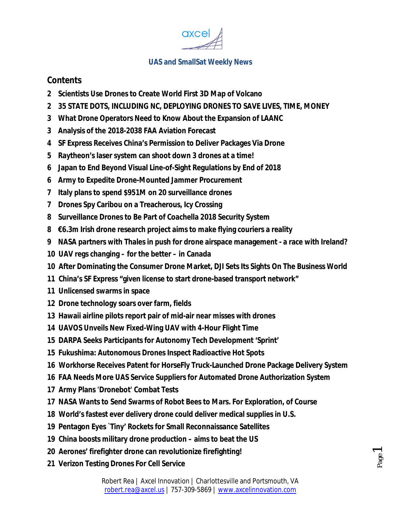

### **Contents**

- **2 Scientists Use Drones to Create World First 3D Map of Volcano**
- **2 35 STATE DOTS, INCLUDING NC, DEPLOYING DRONES TO SAVE LIVES, TIME, MONEY**
- **3 What Drone Operators Need to Know About the Expansion of LAANC**
- **3 Analysis of the 2018-2038 FAA Aviation Forecast**
- **4 SF Express Receives China's Permission to Deliver Packages Via Drone**
- **5 Raytheon's laser system can shoot down 3 drones at a time!**
- **6 Japan to End Beyond Visual Line-of-Sight Regulations by End of 2018**
- **6 Army to Expedite Drone-Mounted Jammer Procurement**
- **7 Italy plans to spend \$951M on 20 surveillance drones**
- **7 Drones Spy Caribou on a Treacherous, Icy Crossing**
- **8 Surveillance Drones to Be Part of Coachella 2018 Security System**
- **8 €6.3m Irish drone research project aims to make flying couriers a reality**
- **9 NASA partners with Thales in push for drone airspace management - a race with Ireland?**
- **10 UAV regs changing – for the better – in Canada**
- **10 After Dominating the Consumer Drone Market, DJI Sets Its Sights On The Business World**
- **11 China's SF Express "given license to start drone-based transport network"**
- **11 Unlicensed swarms in space**
- **12 Drone technology soars over farm, fields**
- **13 Hawaii airline pilots report pair of mid-air near misses with drones**
- **14 UAVOS Unveils New Fixed-Wing UAV with 4-Hour Flight Time**
- **15 DARPA Seeks Participants for Autonomy Tech Development 'Sprint'**
- **15 Fukushima: Autonomous Drones Inspect Radioactive Hot Spots**
- **16 Workhorse Receives Patent for HorseFly Truck-Launched Drone Package Delivery System**
- **16 FAA Needs More UAS Service Suppliers for Automated Drone Authorization System**
- **17 Army Plans 'Dronebot' Combat Tests**
- **17 NASA Wants to Send Swarms of Robot Bees to Mars. For Exploration, of Course**
- **18 World's fastest ever delivery drone could deliver medical supplies in U.S.**
- **19 Pentagon Eyes `Tiny' Rockets for Small Reconnaissance Satellites**
- **19 China boosts military drone production – aims to beat the US**
- **20 Aerones' firefighter drone can revolutionize firefighting!**
- **21 Verizon Testing Drones For Cell Service**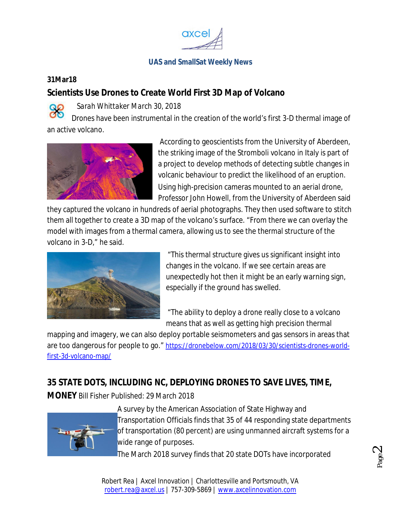

#### **31Mar18**

### **Scientists Use Drones to Create World First 3D Map of Volcano**

*Sarah Whittaker March 30, 2018*

Drones have been instrumental in the creation of the world's first 3-D thermal image of an active volcano.



According to geoscientists from the University of Aberdeen, the striking image of the Stromboli volcano in Italy is part of a project to develop methods of detecting subtle changes in volcanic behaviour to predict the likelihood of an eruption. Using high-precision cameras mounted to an aerial drone, Professor John Howell, from the University of Aberdeen said

they captured the volcano in hundreds of aerial photographs. They then used software to stitch them all together to create a 3D map of the volcano's surface. "From there we can overlay the model with images from a thermal camera, allowing us to see the thermal structure of the volcano in 3-D," he said.



"This thermal structure gives us significant insight into changes in the volcano. If we see certain areas are unexpectedly hot then it might be an early warning sign, especially if the ground has swelled.

"The ability to deploy a drone really close to a volcano means that as well as getting high precision thermal

mapping and imagery, we can also deploy portable seismometers and gas sensors in areas that are too dangerous for people to go." https://dronebelow.com/2018/03/30/scientists-drones-worldfirst-3d-volcano-map/

# **35 STATE DOTS, INCLUDING NC, DEPLOYING DRONES TO SAVE LIVES, TIME,**

**MONEY** Bill Fisher Published: 29 March 2018



A survey by the American Association of State Highway and Transportation Officials finds that 35 of 44 responding state departments of transportation (80 percent) are using unmanned aircraft systems for a wide range of purposes.

The March 2018 survey finds that 20 state DOTs have incorporated

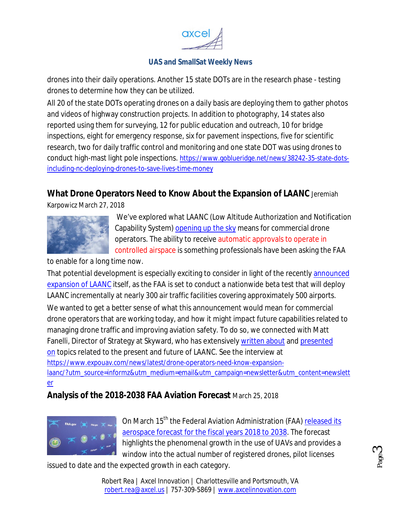

drones into their daily operations. Another 15 state DOTs are in the research phase - testing drones to determine how they can be utilized.

All 20 of the state DOTs operating drones on a daily basis are deploying them to gather photos and videos of highway construction projects. In addition to photography, 14 states also reported using them for surveying, 12 for public education and outreach, 10 for bridge inspections, eight for emergency response, six for pavement inspections, five for scientific research, two for daily traffic control and monitoring and one state DOT was using drones to conduct high-mast light pole inspections. https://www.goblueridge.net/news/38242-35-state-dotsincluding-nc-deploying-drones-to-save-lives-time-money

## **What Drone Operators Need to Know About the Expansion of LAANC** Jeremiah

Karpowicz March 27, 2018



We've explored what LAANC (Low Altitude Authorization and Notification Capability System) opening up the sky means for commercial drone operators. The ability to receive automatic approvals to operate in controlled airspace is something professionals have been asking the FAA

to enable for a long time now.

That potential development is especially exciting to consider in light of the recently announced expansion of LAANC itself, as the FAA is set to conduct a nationwide beta test that will deploy LAANC incrementally at nearly 300 air traffic facilities covering approximately 500 airports. We wanted to get a better sense of what this announcement would mean for commercial drone operators that are working today, and how it might impact future capabilities related to managing drone traffic and improving aviation safety. To do so, we connected with Matt Fanelli, Director of Strategy at Skyward, who has extensively written about and presented on topics related to the present and future of LAANC. See the interview at https://www.expouav.com/news/latest/drone-operators-need-know-expansionlaanc/?utm\_source=informz&utm\_medium=email&utm\_campaign=newsletter&utm\_content=newslett er

## **Analysis of the 2018-2038 FAA Aviation Forecast** March 25, 2018



On March 15<sup>th</sup> the Federal Aviation Administration (FAA) released its aerospace forecast for the fiscal years 2018 to 2038. The forecast highlights the phenomenal growth in the use of UAVs and provides a window into the actual number of registered drones, pilot licenses

issued to date and the expected growth in each category.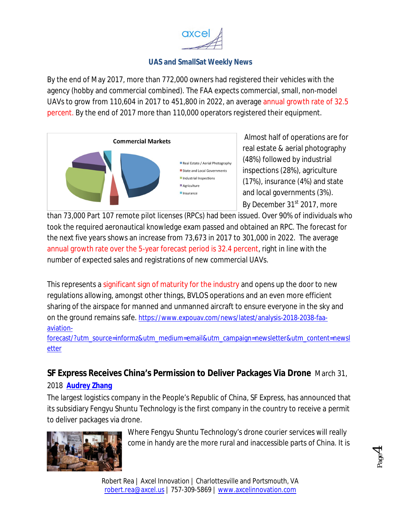

By the end of May 2017, more than 772,000 owners had registered their vehicles with the agency (hobby and commercial combined). The FAA expects commercial, small, non-model UAVs to grow from 110,604 in 2017 to 451,800 in 2022, an average annual growth rate of 32.5 percent. By the end of 2017 more than 110,000 operators registered their equipment.



Almost half of operations are for real estate & aerial photography (48%) followed by industrial inspections (28%), agriculture (17%), insurance (4%) and state and local governments (3%). By December 31<sup>st</sup> 2017, more

than 73,000 Part 107 remote pilot licenses (RPCs) had been issued. Over 90% of individuals who took the required aeronautical knowledge exam passed and obtained an RPC. The forecast for the next five years shows an increase from 73,673 in 2017 to 301,000 in 2022. The average annual growth rate over the 5-year forecast period is 32.4 percent, right in line with the number of expected sales and registrations of new commercial UAVs.

This represents a significant sign of maturity for the industry and opens up the door to new regulations allowing, amongst other things, BVLOS operations and an even more efficient sharing of the airspace for manned and unmanned aircraft to ensure everyone in the sky and on the ground remains safe. https://www.expouav.com/news/latest/analysis-2018-2038-faaaviation-

forecast/?utm\_source=informz&utm\_medium=email&utm\_campaign=newsletter&utm\_content=newsl etter

## **SF Express Receives China's Permission to Deliver Packages Via Drone** March 31,

#### 2018 **Audrey Zhang**

The largest logistics company in the People's Republic of China, SF Express, has announced that its subsidiary Fengyu Shuntu Technology is the first company in the country to receive a permit to deliver packages via drone.



Where Fengyu Shuntu Technology's drone courier services will really come in handy are the more rural and inaccessible parts of China. It is

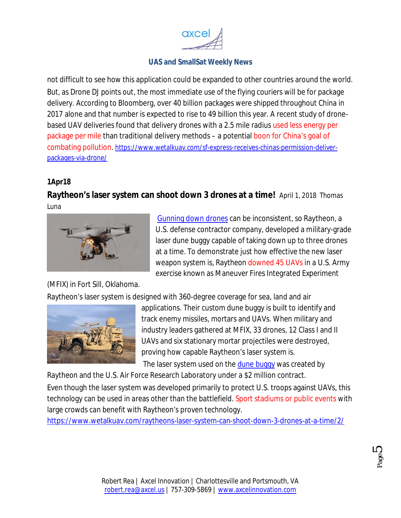

not difficult to see how this application could be expanded to other countries around the world. But, as Drone DJ points out, the most immediate use of the flying couriers will be for package delivery. According to Bloomberg, over 40 billion packages were shipped throughout China in 2017 alone and that number is expected to rise to 49 billion this year. A recent study of dronebased UAV deliveries found that delivery drones with a 2.5 mile radius used less energy per package per mile than traditional delivery methods – a potential boon for China's goal of combating pollution. https://www.wetalkuav.com/sf-express-receives-chinas-permission-deliverpackages-via-drone/

#### **1Apr18**

**Raytheon's laser system can shoot down 3 drones at a time!** April 1, 2018 Thomas Luna



Gunning down drones can be inconsistent, so Raytheon, a U.S. defense contractor company, developed a military-grade laser dune buggy capable of taking down up to three drones at a time. To demonstrate just how effective the new laser weapon system is, Raytheon downed 45 UAVs in a U.S. Army exercise known as Maneuver Fires Integrated Experiment

(MFIX) in Fort Sill, Oklahoma.

Raytheon's laser system is designed with 360-degree coverage for sea, land and air



applications. Their custom dune buggy is built to identify and track enemy missiles, mortars and UAVs. When military and industry leaders gathered at MFIX, 33 drones, 12 Class I and II UAVs and six stationary mortar projectiles were destroyed, proving how capable Raytheon's laser system is.

The laser system used on the dune buggy was created by

Raytheon and the U.S. Air Force Research Laboratory under a \$2 million contract. Even though the laser system was developed primarily to protect U.S. troops against UAVs, this

technology can be used in areas other than the battlefield. Sport stadiums or public events with large crowds can benefit with Raytheon's proven technology.

https://www.wetalkuav.com/raytheons-laser-system-can-shoot-down-3-drones-at-a-time/2/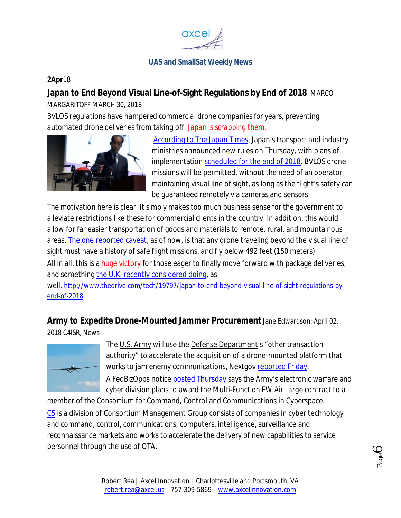

#### **2Apr**18

### **Japan to End Beyond Visual Line-of-Sight Regulations by End of 2018** MARCO

MARGARITOFF MARCH 30, 2018

*BVLOS regulations have hampered commercial drone companies for years, preventing automated drone deliveries from taking off. Japan is scrapping them.*



According to *The Japan Times*, Japan's transport and industry ministries announced new rules on Thursday, with plans of implementation scheduled for the end of 2018. BVLOS drone missions will be permitted, without the need of an operator maintaining visual line of sight, as long as the flight's safety can be guaranteed remotely via cameras and sensors.

The motivation here is clear. It simply makes too much business sense for the government to alleviate restrictions like these for commercial clients in the country. In addition, this would allow for far easier transportation of goods and materials to remote, rural, and mountainous areas. The one reported caveat, as of now, is that any drone traveling beyond the visual line of sight must have a history of safe flight missions, and fly below 492 feet (150 meters).

All in all, this is a huge victory for those eager to finally move forward with package deliveries, and something the U.K. recently considered doing, as

well. http://www.thedrive.com/tech/19797/japan-to-end-beyond-visual-line-of-sight-regulations-byend-of-2018

## **Army to Expedite Drone-Mounted Jammer Procurement** Jane Edwardson: April 02,

2018 C4ISR, News



The U.S. Army will use the Defense Department's "other transaction authority" to accelerate the acquisition of a drone-mounted platform that works to jam enemy communications, Nextgov reported Friday. A FedBizOpps notice posted Thursday says the Army's electronic warfare and cyber division plans to award the *Multi-Function EW Air Large* contract to a

member of the Consortium for Command, Control and Communications in Cyberspace. C5 is a division of Consortium Management Group consists of companies in cyber technology and command, control, communications, computers, intelligence, surveillance and reconnaissance markets and works to accelerate the delivery of new capabilities to service personnel through the use of OTA.

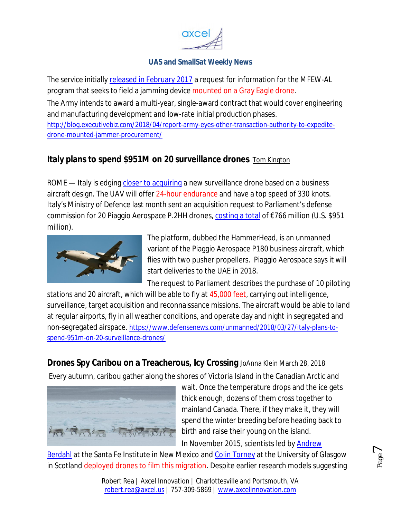

The service initially released in February 2017 a request for information for the MFEW-AL program that seeks to field a jamming device mounted on a *Gray Eagle* drone.

The Army intends to award a multi-year, single-award contract that would cover engineering and manufacturing development and low-rate initial production phases.

http://blog.executivebiz.com/2018/04/report-army-eyes-other-transaction-authority-to-expeditedrone-mounted-jammer-procurement/

# **Italy plans to spend \$951M on 20 surveillance drones** Tom Kington

ROME — Italy is edging closer to acquiring a new surveillance drone based on a business aircraft design. The UAV will offer 24-hour endurance and have a top speed of 330 knots. Italy's Ministry of Defence last month sent an acquisition request to Parliament's defense commission for 20 Piaggio Aerospace P.2HH drones, costing a total of €766 million (U.S. \$951 million).



The platform, dubbed the HammerHead, is an unmanned variant of the Piaggio Aerospace P180 business aircraft, which flies with two pusher propellers. Piaggio Aerospace says it will start deliveries to the UAE in 2018.

The request to Parliament describes the purchase of 10 piloting

stations and 20 aircraft, which will be able to fly at 45,000 feet, carrying out intelligence, surveillance, target acquisition and reconnaissance missions. The aircraft would be able to land at regular airports, fly in all weather conditions, and operate day and night in segregated and non-segregated airspace. https://www.defensenews.com/unmanned/2018/03/27/italy-plans-tospend-951m-on-20-surveillance-drones/

**Drones Spy Caribou on a Treacherous, Icy Crossing** JoAnna Klein March 28, 2018 Every autumn, caribou gather along the shores of Victoria Island in the Canadian Arctic and



wait. Once the temperature drops and the ice gets thick enough, dozens of them cross together to mainland Canada. There, if they make it, they will spend the winter breeding before heading back to birth and raise their young on the island.

Page<sup>7</sup>

In November 2015, scientists led by Andrew

Berdahl at the Santa Fe Institute in New Mexico and Colin Torney at the University of Glasgow in Scotland deployed drones to film this migration. Despite earlier research models suggesting

> Robert Rea | Axcel Innovation | Charlottesville and Portsmouth, VA robert.rea@axcel.us | 757-309-5869 | www.axcelinnovation.com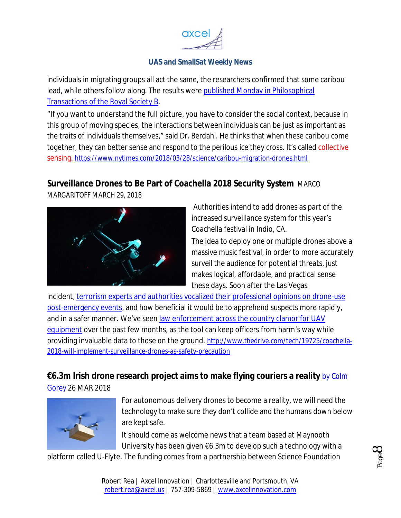

individuals in migrating groups all act the same, the researchers confirmed that some caribou lead, while others follow along. The results were published Monday in Philosophical Transactions of the Royal Society B.

"If you want to understand the full picture, you have to consider the social context, because in this group of moving species, the interactions between individuals can be just as important as the traits of individuals themselves," said Dr. Berdahl. He thinks that when these caribou come together, they can better sense and respond to the perilous ice they cross. It's called collective sensing. https://www.nytimes.com/2018/03/28/science/caribou-migration-drones.html

## **Surveillance Drones to Be Part of Coachella 2018 Security System** MARCO

MARGARITOFF MARCH 29, 2018



Authorities intend to add drones as part of the increased surveillance system for this year's Coachella festival in Indio, CA.

The idea to deploy one or multiple drones above a massive music festival, in order to more accurately surveil the audience for potential threats, just makes logical, affordable, and practical sense these days. Soon after the Las Vegas

incident, terrorism experts and authorities vocalized their professional opinions on drone-use post-emergency events, and how beneficial it would be to apprehend suspects more rapidly, and in a safer manner. We've seen law enforcement across the country clamor for UAV equipment over the past few months, as the tool can keep officers from harm's way while providing invaluable data to those on the ground. http://www.thedrive.com/tech/19725/coachella-2018-will-implement-surveillance-drones-as-safety-precaution

## **€6.3m Irish drone research project aims to make flying couriers a reality** *by Colm*

*Gorey* 26 MAR 2018



For autonomous delivery drones to become a reality, we will need the technology to make sure they don't collide and the humans down below are kept safe.

It should come as welcome news that a team based at Maynooth University has been given  $\epsilon$ 6.3m to develop such a technology with a

platform called U-Flyte. The funding comes from a partnership between Science Foundation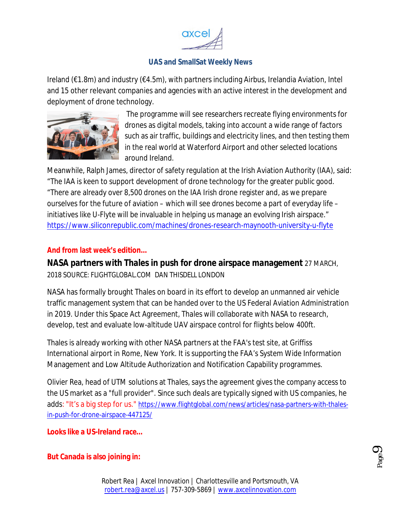

Ireland (€1.8m) and industry (€4.5m), with partners including Airbus, Irelandia Aviation, Intel and 15 other relevant companies and agencies with an active interest in the development and deployment of drone technology.



The programme will see researchers recreate flying environments for drones as digital models, taking into account a wide range of factors such as air traffic, buildings and electricity lines, and then testing them in the real world at Waterford Airport and other selected locations around Ireland.

Meanwhile, Ralph James, director of safety regulation at the Irish Aviation Authority (IAA), said: "The IAA is keen to support development of drone technology for the greater public good. "There are already over 8,500 drones on the IAA Irish drone register and, as we prepare ourselves for the future of aviation – which will see drones become a part of everyday life – initiatives like U-Flyte will be invaluable in helping us manage an evolving Irish airspace." https://www.siliconrepublic.com/machines/drones-research-maynooth-university-u-flyte

#### **And from last week's edition…**

**NASA partners with Thales in push for drone airspace management** 27 MARCH, 2018 SOURCE: FLIGHTGLOBAL COM DAN THISDELL LONDON

NASA has formally brought Thales on board in its effort to develop an unmanned air vehicle traffic management system that can be handed over to the US Federal Aviation Administration in 2019. Under this Space Act Agreement, Thales will collaborate with NASA to research, develop, test and evaluate low-altitude UAV airspace control for flights below 400ft.

Thales is already working with other NASA partners at the FAA's test site, at Griffiss International airport in Rome, New York. It is supporting the FAA's System Wide Information Management and Low Altitude Authorization and Notification Capability programmes.

Olivier Rea, head of UTM solutions at Thales, says the agreement gives the company access to the US market as a "full provider". Since such deals are typically signed with US companies, he adds: "It's a big step for us." https://www.flightglobal.com/news/articles/nasa-partners-with-thalesin-push-for-drone-airspace-447125/

**Looks like a US-Ireland race…**

#### **But Canada is also joining in:**

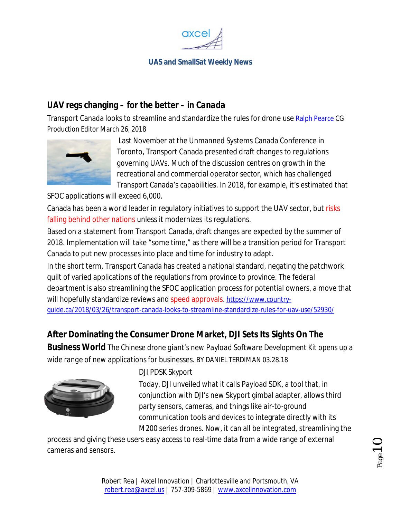

## **UAV regs changing – for the better** *– in Canada*

Transport Canada looks to streamline and standardize the rules for drone use Ralph Pearce CG Production Editor March 26, 2018



Last November at the Unmanned Systems Canada Conference in Toronto, Transport Canada presented draft changes to regulations governing UAVs. Much of the discussion centres on growth in the recreational and commercial operator sector, which has challenged Transport Canada's capabilities. In 2018, for example, it's estimated that

SFOC applications will exceed 6,000.

Canada has been a world leader in regulatory initiatives to support the UAV sector, but risks falling behind other nations unless it modernizes its regulations.

Based on a statement from Transport Canada, draft changes are expected by the summer of 2018. Implementation will take "some time," as there will be a transition period for Transport Canada to put new processes into place and time for industry to adapt.

In the short term, Transport Canada has created a national standard, negating the patchwork quilt of varied applications of the regulations from province to province. The federal department is also streamlining the SFOC application process for potential owners, a move that will hopefully standardize reviews and speed approvals. https://www.countryguide.ca/2018/03/26/transport-canada-looks-to-streamline-standardize-rules-for-uav-use/52930/

# **After Dominating the Consumer Drone Market, DJI Sets Its Sights On The**

**Business World** *The Chinese drone giant's new Payload Software Development Kit opens up a wide range of new applications for businesses*. BY DANIEL TERDIMAN 03.28.18



### *DJI PDSK Skyport*

Today, DJI unveiled what it calls Payload SDK, a tool that, in conjunction with DJI's new Skyport gimbal adapter, allows third party sensors, cameras, and things like air-to-ground communication tools and devices to integrate directly with its M200 series drones. Now, it can all be integrated, streamlining the

process and giving these users easy access to real-time data from a wide range of external cameras and sensors.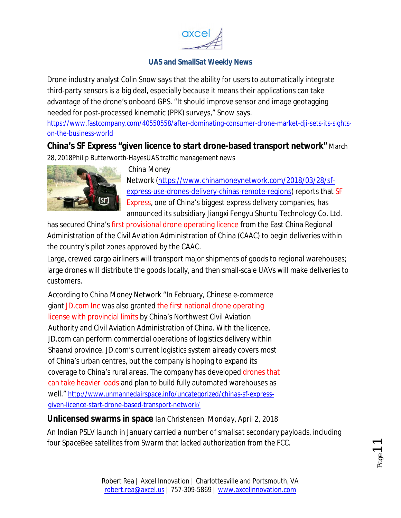

Drone industry analyst Colin Snow says that the ability for users to automatically integrate third-party sensors is a big deal, especially because it means their applications can take advantage of the drone's onboard GPS. "It should improve sensor and image geotagging needed for post-processed kinematic (PPK) surveys," Snow says.

https://www.fastcompany.com/40550558/after-dominating-consumer-drone-market-dji-sets-its-sightson-the-business-world

### **China's SF Express "given licence to start drone-based transport network"** March

28, 2018Philip Butterworth-HayesUAS traffic management news



#### *China Money*

*Network* (https://www.chinamoneynetwork.com/2018/03/28/sfexpress-use-drones-delivery-chinas-remote-regions) reports that SF Express, one of China's biggest express delivery companies, has announced its subsidiary Jiangxi Fengyu Shuntu Technology Co. Ltd.

has secured China's first provisional drone operating licence from the East China Regional Administration of the Civil Aviation Administration of China (CAAC) to begin deliveries within the country's pilot zones approved by the CAAC.

Large, crewed cargo airliners will transport major shipments of goods to regional warehouses; large drones will distribute the goods locally, and then small-scale UAVs will make deliveries to customers.

According to *China Money Network* "In February, Chinese e-commerce giant JD.com Inc was also granted the first national drone operating license with provincial limits by China's Northwest Civil Aviation Authority and Civil Aviation Administration of China. With the licence, JD.com can perform commercial operations of logistics delivery within Shaanxi province. JD.com's current logistics system already covers most of China's urban centres, but the company is hoping to expand its coverage to China's rural areas. The company has developed drones that can take heavier loads and plan to build fully automated warehouses as well." http://www.unmannedairspace.info/uncategorized/chinas-sf-expressgiven-licence-start-drone-based-transport-network/

**Unlicensed swarms in space** *Ian Christensen Monday, April 2, 2018 An Indian PSLV launch in January carried a number of smallsat secondary payloads, including four SpaceBee satellites from Swarm that lacked authorization from the FCC.*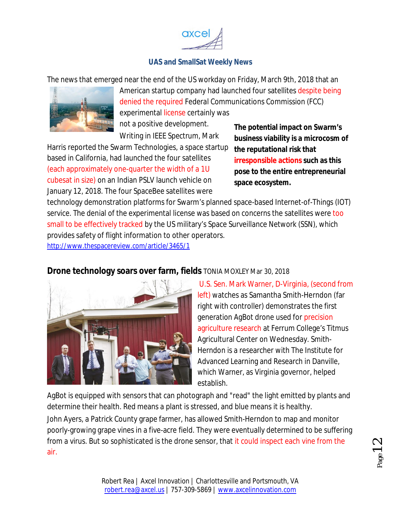

The news that emerged near the end of the US workday on Friday, March 9th, 2018 that an



American startup company had launched four satellites despite being denied the required Federal Communications Commission (FCC) experimental license certainly was not a positive development.

Writing in *IEEE Spectrum*, Mark

Harris reported the Swarm Technologies, a space startup based in California, had launched the four satellites (each approximately one-quarter the width of a 1U cubesat in size) on an Indian PSLV launch vehicle on January 12, 2018. The four SpaceBee satellites were

**The potential impact on Swarm's business viability is a microcosm of the reputational risk that irresponsible actions such as this pose to the entire entrepreneurial space ecosystem.**

technology demonstration platforms for Swarm's planned space-based Internet-of-Things (IOT) service. The denial of the experimental license was based on concerns the satellites were too small to be effectively tracked by the US military's Space Surveillance Network (SSN), which provides safety of flight information to other operators. http://www.thespacereview.com/article/3465/1

## **Drone technology soars over farm, fields** TONIA MOXLEY Mar 30, 2018



U.S. Sen. Mark Warner, D-Virginia, (second from left) watches as Samantha Smith-Herndon (far right with controller) demonstrates the first generation AgBot drone used for precision agriculture research at Ferrum College's Titmus Agricultural Center on Wednesday. Smith-Herndon is a researcher with The Institute for Advanced Learning and Research in Danville, which Warner, as Virginia governor, helped establish.

AgBot is equipped with sensors that can photograph and "read" the light emitted by plants and determine their health. Red means a plant is stressed, and blue means it is healthy.

John Ayers, a Patrick County grape farmer, has allowed Smith-Herndon to map and monitor poorly-growing grape vines in a five-acre field. They were eventually determined to be suffering from a virus. But so sophisticated is the drone sensor, that it could inspect each vine from the air.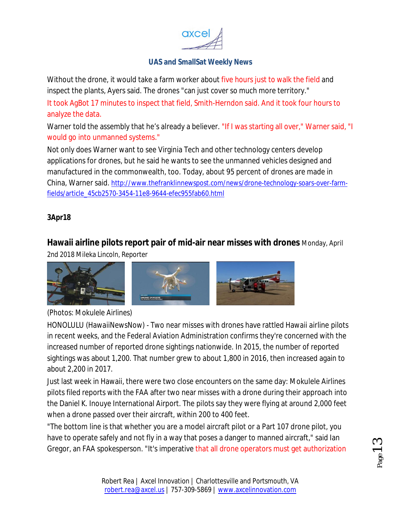

Without the drone, it would take a farm worker about five hours just to walk the field and inspect the plants, Ayers said. The drones "can just cover so much more territory."

It took AgBot 17 minutes to inspect that field, Smith-Herndon said. And it took four hours to analyze the data.

Warner told the assembly that he's already a believer. "If I was starting all over," Warner said, "I would go into unmanned systems."

Not only does Warner want to see Virginia Tech and other technology centers develop applications for drones, but he said he wants to see the unmanned vehicles designed and manufactured in the commonwealth, too. Today, about 95 percent of drones are made in China, Warner said. http://www.thefranklinnewspost.com/news/drone-technology-soars-over-farmfields/article\_45cb2570-3454-11e8-9644-efec955fab60.html

#### **3Apr18**

## **Hawaii airline pilots report pair of mid-air near misses with drones** Monday, April

2nd 2018 Mileka Lincoln, Reporter



### *(Photos: Mokulele Airlines)*

HONOLULU (HawaiiNewsNow) - Two near misses with drones have rattled Hawaii airline pilots in recent weeks, and the Federal Aviation Administration confirms they're concerned with the increased number of reported drone sightings nationwide. In 2015, the number of reported sightings was about 1,200. That number grew to about 1,800 in 2016, then increased again to about 2,200 in 2017.

Just last week in Hawaii, there were two close encounters on the same day: Mokulele Airlines pilots filed reports with the FAA after two near misses with a drone during their approach into the Daniel K. Inouye International Airport. The pilots say they were flying at around 2,000 feet when a drone passed over their aircraft, within 200 to 400 feet.

"The bottom line is that whether you are a model aircraft pilot or a Part 107 drone pilot, you have to operate safely and not fly in a way that poses a danger to manned aircraft," said lan Gregor, an FAA spokesperson. "It's imperative that all drone operators must get authorization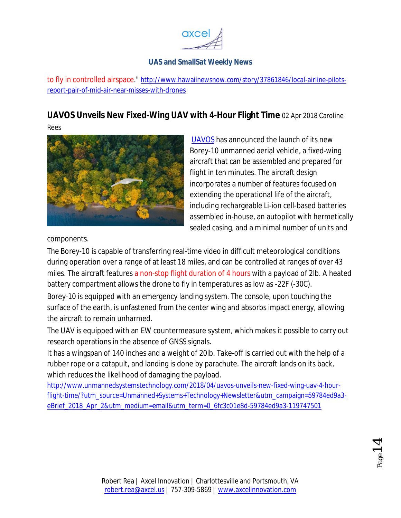

to fly in controlled airspace." http://www.hawaiinewsnow.com/story/37861846/local-airline-pilotsreport-pair-of-mid-air-near-misses-with-drones

# **UAVOS Unveils New Fixed-Wing UAV with 4-Hour Flight Time** 02 Apr 2018 Caroline

Rees



UAVOS has announced the launch of its new Borey-10 unmanned aerial vehicle, a fixed-wing aircraft that can be assembled and prepared for flight in ten minutes. The aircraft design incorporates a number of features focused on extending the operational life of the aircraft, including rechargeable Li-ion cell-based batteries assembled in-house, an autopilot with hermetically sealed casing, and a minimal number of units and

components.

The Borey-10 is capable of transferring real-time video in difficult meteorological conditions during operation over a range of at least 18 miles, and can be controlled at ranges of over 43 miles. The aircraft features a non-stop flight duration of 4 hours with a payload of 2lb. A heated battery compartment allows the drone to fly in temperatures as low as -22F (-30C).

Borey-10 is equipped with an emergency landing system. The console, upon touching the surface of the earth, is unfastened from the center wing and absorbs impact energy, allowing the aircraft to remain unharmed.

The UAV is equipped with an EW countermeasure system, which makes it possible to carry out research operations in the absence of GNSS signals.

It has a wingspan of 140 inches and a weight of 20lb. Take-off is carried out with the help of a rubber rope or a catapult, and landing is done by parachute. The aircraft lands on its back, which reduces the likelihood of damaging the payload.

http://www.unmannedsystemstechnology.com/2018/04/uavos-unveils-new-fixed-wing-uav-4-hourflight-time/?utm\_source=Unmanned+Systems+Technology+Newsletter&utm\_campaign=59784ed9a3 eBrief\_2018\_Apr\_2&utm\_medium=email&utm\_term=0\_6fc3c01e8d-59784ed9a3-119747501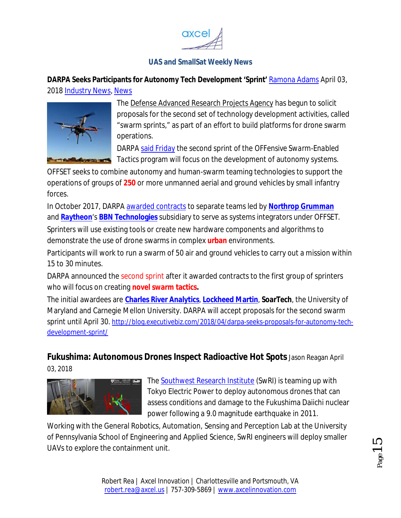

**DARPA Seeks Participants for Autonomy Tech Development 'Sprint'** Ramona Adams April 03, 2018 Industry News, News



The Defense Advanced Research Projects Agency has begun to solicit proposals for the second set of technology development activities, called "swarm sprints," as part of an effort to build platforms for drone swarm operations.

DARPA said Friday the second sprint of the *OFFensive Swarm-Enabled Tactics* program will focus on the development of autonomy systems.

OFFSET seeks to combine autonomy and human-swarm teaming technologies to support the operations of groups of **250** or more unmanned aerial and ground vehicles by small infantry forces.

In October 2017, DARPA awarded contracts to separate teams led by **Northrop Grumman** and **Raytheon**'s **BBN Technologies** subsidiary to serve as systems integrators under OFFSET.

Sprinters will use existing tools or create new hardware components and algorithms to demonstrate the use of drone swarms in complex **urban** environments.

Participants will work to run a swarm of 50 air and ground vehicles to carry out a mission within 15 to 30 minutes.

DARPA announced the second sprint after it awarded contracts to the first group of sprinters who will focus on creating **novel swarm tactics.**

The initial awardees are **Charles River Analytics**, **Lockheed Martin**, **SoarTech**, the University of Maryland and Carnegie Mellon University. DARPA will accept proposals for the second swarm sprint until April 30. http://blog.executivebiz.com/2018/04/darpa-seeks-proposals-for-autonomy-techdevelopment-sprint/

## **Fukushima: Autonomous Drones Inspect Radioactive Hot Spots** Jason Reagan April 03, 2018



The Southwest Research Institute (SwRI) is teaming up with Tokyo Electric Power to deploy autonomous drones that can assess conditions and damage to the Fukushima Daiichi nuclear power following a 9.0 magnitude earthquake in 2011.

Working with the General Robotics, Automation, Sensing and Perception Lab at the University of Pennsylvania School of Engineering and Applied Science, SwRI engineers will deploy smaller UAVs to explore the containment unit.

age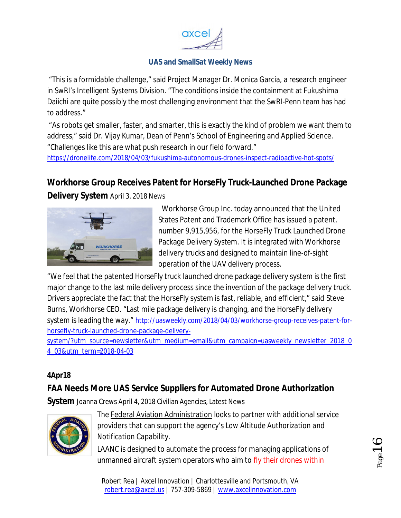

"This is a formidable challenge," said Project Manager Dr. Monica Garcia, a research engineer in SwRI's Intelligent Systems Division. "The conditions inside the containment at Fukushima Daiichi are quite possibly the most challenging environment that the SwRI-Penn team has had to address."

"As robots get smaller, faster, and smarter, this is exactly the kind of problem we want them to address," said Dr. Vijay Kumar, Dean of Penn's School of Engineering and Applied Science. "Challenges like this are what push research in our field forward."

https://dronelife.com/2018/04/03/fukushima-autonomous-drones-inspect-radioactive-hot-spots/

## **Workhorse Group Receives Patent for HorseFly Truck-Launched Drone Package**

**Delivery System** April 3, 2018 News



 Workhorse Group Inc. today announced that the United States Patent and Trademark Office has issued a patent, number 9,915,956, for the HorseFly Truck Launched Drone Package Delivery System. It is integrated with Workhorse delivery trucks and designed to maintain line-of-sight operation of the UAV delivery process.

"We feel that the patented HorseFly truck launched drone package delivery system is the first major change to the last mile delivery process since the invention of the package delivery truck. Drivers appreciate the fact that the HorseFly system is fast, reliable, and efficient," said Steve Burns, Workhorse CEO. "Last mile package delivery is changing, and the HorseFly delivery system is leading the way." http://uasweekly.com/2018/04/03/workhorse-group-receives-patent-forhorsefly-truck-launched-drone-package-delivery-

system/?utm\_source=newsletter&utm\_medium=email&utm\_campaign=uasweekly\_newsletter\_2018\_0 4\_03&utm\_term=2018-04-03

#### **4Apr18**

# **FAA Needs More UAS Service Suppliers for Automated Drone Authorization**

**System** Joanna Crews April 4, 2018 Civilian Agencies, Latest News



The Federal Aviation Administration looks to partner with additional service providers that can support the agency's *Low Altitude Authorization and Notification Capability*.

LAANC is designed to automate the process for managing applications of unmanned aircraft system operators who aim to fly their drones within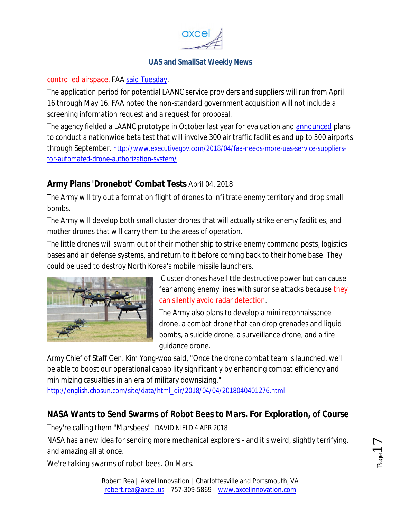

#### controlled airspace, FAA said Tuesday.

The application period for potential LAANC service providers and suppliers will run from April 16 through May 16. FAA noted the non-standard government acquisition will not include a screening information request and a request for proposal.

The agency fielded a LAANC prototype in October last year for evaluation and announced plans to conduct a nationwide beta test that will involve 300 air traffic facilities and up to 500 airports through September. http://www.executivegov.com/2018/04/faa-needs-more-uas-service-suppliersfor-automated-drone-authorization-system/

## **Army Plans 'Dronebot' Combat Tests** April 04, 2018

The Army will try out a formation flight of drones to infiltrate enemy territory and drop small bombs.

The Army will develop both small cluster drones that will actually strike enemy facilities, and mother drones that will carry them to the areas of operation.

The little drones will swarm out of their mother ship to strike enemy command posts, logistics bases and air defense systems, and return to it before coming back to their home base. They could be used to destroy North Korea's mobile missile launchers.



Cluster drones have little destructive power but can cause fear among enemy lines with surprise attacks because they can silently avoid radar detection.

The Army also plans to develop a mini reconnaissance drone, a combat drone that can drop grenades and liquid bombs, a suicide drone, a surveillance drone, and a fire guidance drone.

Army Chief of Staff Gen. Kim Yong-woo said, "Once the drone combat team is launched, we'll be able to boost our operational capability significantly by enhancing combat efficiency and minimizing casualties in an era of military downsizing."

http://english.chosun.com/site/data/html\_dir/2018/04/04/2018040401276.html

# **NASA Wants to Send Swarms of Robot Bees to Mars. For Exploration, of Course**

They're calling them "Marsbees". DAVID NIELD 4 APR 2018

NASA has a new idea for sending more mechanical explorers - and it's weird, slightly terrifying, and amazing all at once.

We're talking swarms of robot bees. On Mars.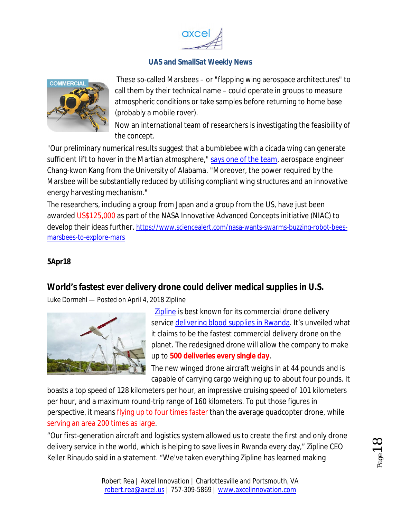



These so-called Marsbees – or "flapping wing aerospace architectures" to call them by their technical name – could operate in groups to measure atmospheric conditions or take samples before returning to home base (probably a mobile rover).

Now an international team of researchers is investigating the feasibility of the concept.

"Our preliminary numerical results suggest that a bumblebee with a cicada wing can generate sufficient lift to hover in the Martian atmosphere," says one of the team, aerospace engineer Chang-kwon Kang from the University of Alabama. "Moreover, the power required by the Marsbee will be substantially reduced by utilising compliant wing structures and an innovative energy harvesting mechanism."

The researchers, including a group from Japan and a group from the US, have just been awarded US\$125,000 as part of the NASA Innovative Advanced Concepts initiative (NIAC) to develop their ideas further. https://www.sciencealert.com/nasa-wants-swarms-buzzing-robot-beesmarsbees-to-explore-mars

### **5Apr18**

## **World's fastest ever delivery drone could deliver medical supplies in U.S.**

*Luke Dormehl — Posted on April 4, 2018* Zipline



 Zipline is best known for its commercial drone delivery service delivering blood supplies in Rwanda. It's unveiled what it claims to be the fastest commercial delivery drone on the planet. The redesigned drone will allow the company to make up to **500 deliveries every single day**.

The new winged drone aircraft weighs in at 44 pounds and is capable of carrying cargo weighing up to about four pounds. It

boasts a top speed of 128 kilometers per hour, an impressive cruising speed of 101 kilometers per hour, and a maximum round-trip range of 160 kilometers. To put those figures in perspective, it means flying up to four times faster than the average quadcopter drone, while serving an area 200 times as large.

"Our first-generation aircraft and logistics system allowed us to create the first and only drone delivery service in the world, which is helping to save lives in Rwanda every day," Zipline CEO Keller Rinaudo said in a statement. "We've taken everything Zipline has learned making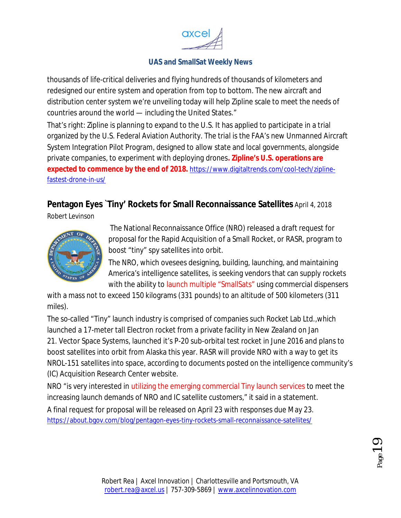

thousands of life-critical deliveries and flying hundreds of thousands of kilometers and redesigned our entire system and operation from top to bottom. The new aircraft and distribution center system we're unveiling today will help Zipline scale to meet the needs of countries around the world — including the United States."

That's right: Zipline is planning to expand to the U.S. It has applied to participate in a trial organized by the U.S. Federal Aviation Authority. The trial is the FAA's new Unmanned Aircraft System Integration Pilot Program, designed to allow state and local governments, alongside private companies, to experiment with deploying drones**. Zipline's U.S. operations are expected to commence by the end of 2018.** https://www.digitaltrends.com/cool-tech/ziplinefastest-drone-in-us/

## **Pentagon Eyes `Tiny' Rockets for Small Reconnaissance Satellites** April 4, 2018

Robert Levinson



The National Reconnaissance Office (NRO) released a draft request for proposal for the Rapid Acquisition of a Small Rocket, or RASR, program to boost "tiny" spy satellites into orbit.

The NRO, which ovesees designing, building, launching, and maintaining America's intelligence satellites, is seeking vendors that can supply rockets with the ability to launch multiple "SmallSats" using commercial dispensers

with a mass not to exceed 150 kilograms (331 pounds) to an altitude of 500 kilometers (311 miles).

The so-called "Tiny" launch industry is comprised of companies such Rocket Lab Ltd.,which launched a 17-meter tall Electron rocket from a private facility in New Zealand on Jan 21. Vector Space Systems, launched it's P-20 sub-orbital test rocket in June 2016 and plans to boost satellites into orbit from Alaska this year. RASR will provide NRO with a way to get its NROL-151 satellites into space, according to documents posted on the intelligence community's (IC) Acquisition Research Center website.

NRO "is very interested in utilizing the emerging commercial Tiny launch services to meet the increasing launch demands of NRO and IC satellite customers," it said in a statement.

A final request for proposal will be released on April 23 with responses due May 23. https://about.bgov.com/blog/pentagon-eyes-tiny-rockets-small-reconnaissance-satellites/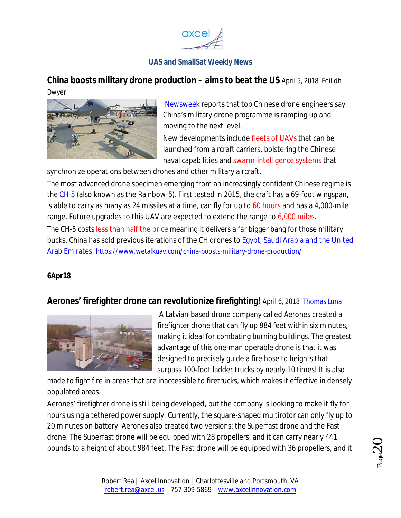

**China boosts military drone production – aims to beat the US** April 5, 2018 Feilidh Dwyer



Newsweek reports that top Chinese drone engineers say China's military drone programme is ramping up and moving to the next level.

New developments include fleets of UAVs that can be launched from aircraft carriers, bolstering the Chinese naval capabilities and swarm-intelligence systems that

synchronize operations between drones and other military aircraft.

The most advanced drone specimen emerging from an increasingly confident Chinese regime is the CH-5 (also known as the Rainbow-5). First tested in 2015, the craft has a 69-foot wingspan, is able to carry as many as 24 missiles at a time, can fly for up to 60 hours and has a 4,000-mile range. Future upgrades to this UAV are expected to extend the range to 6,000 miles.

The CH-5 costs less than half the price meaning it delivers a far bigger bang for those military bucks. China has sold previous iterations of the CH drones to Egypt, Saudi Arabia and the United Arab Emirates. https://www.wetalkuav.com/china-boosts-military-drone-production/

#### **6Apr18**

### **Aerones' firefighter drone can revolutionize firefighting!** April 6, 2018 Thomas Luna



A Latvian-based drone company called Aerones created a firefighter drone that can fly up 984 feet within six minutes, making it ideal for combating burning buildings. The greatest advantage of this one-man operable drone is that it was designed to precisely guide a fire hose to heights that surpass 100-foot ladder trucks by nearly 10 times! It is also

made to fight fire in areas that are inaccessible to firetrucks, which makes it effective in densely populated areas.

Aerones' firefighter drone is still being developed, but the company is looking to make it fly for hours using a tethered power supply. Currently, the square-shaped multirotor can only fly up to 20 minutes on battery. Aerones also created two versions: the Superfast drone and the Fast drone. The Superfast drone will be equipped with 28 propellers, and it can carry nearly 441 pounds to a height of about 984 feet. The Fast drone will be equipped with 36 propellers, and it